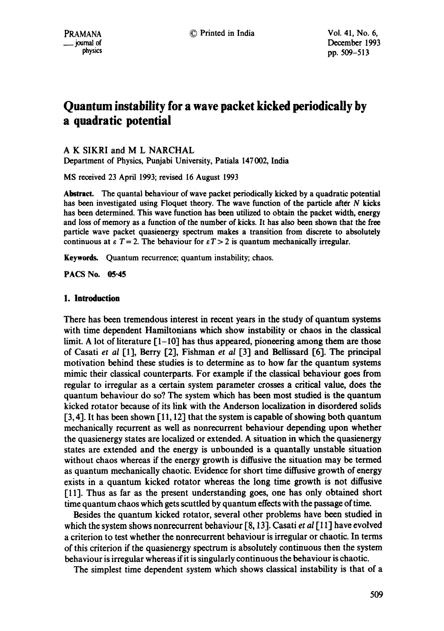# **Quantum instability for a wave packet kicked periodically by a quadratic potential**

# A K SIKRI and M L NARCHAL

Department of Physics, Punjabi University, Patiala 147 002, India

MS received 23 April 1993; revised 16 August 1993

Abstract. The quantal behaviour of wave packet periodically kicked by a quadratic potential has been investigated using Floquet theory. The wave function of the particle after N kicks has been determined. This wave function has been utilized to obtain the packet width, energy and loss of memory as a function of the number of kicks. It has also been shown that the free particle wave packet quasienergy spectrum makes a transition from discrete to absolutely continuous at  $\epsilon$  T = 2. The behaviour for  $\epsilon T > 2$  is quantum mechanically irregular.

Keywords. Quantum recurrence; quantum instability; chaos.

**PACS No. 05.45** 

# 1. Introduction

There has been tremendous interest in recent years in the study of quantum systems with time dependent Hamiltonians which show instability or chaos in the classical limit. A lot of literature  $\lceil 1-10 \rceil$  has thus appeared, pioneering among them are those of Casati *et al* [1], Berry [2], Fishman *et al* [3] and Bellissard [6]. The principal motivation behind these studies is to determine as to how far the quantum systems mimic their classical counterparts. For example if the classical behaviour goes from regular to irregular as a certain system parameter crosses a critical value, does the quantum behaviour do so? The system which has been most studied is the quantum kicked rotator because of its link with the Anderson localization in disordered solids [3, 4]. It has been shown [11, 12] that the system is capable of showing both quantum mechanically recurrent as well as nonrecurrent behaviour depending upon whether the quasienergy states are localized or extended. A situation in which the quasienergy states are extended and the energy is unbounded is a quantally unstable situation without chaos whereas if the energy growth is diffusive the situation may be termed as quantum mechanically chaotic. Evidence for short time diffusive growth of energy exists in a quantum kicked rotator whereas the long time growth is not diffusive [11]. Thus as far as the present understanding goes, one has only obtained short time quantum chaos which gets scuttled by quantum effects with the passage of time.

Besides the quantum kicked rotator, several other problems have been studied in which the system shows nonrecurrent behaviour [8,13]. Casati *et al* [11] have evolved a criterion to test whether the nonrecurrent behaviour is irregular or chaotic. In terms of this criterion ff the quasienergy spectrum is absolutely continuous then the system behaviour is irregular whereas if it is singularly continuous the behaviour is chaotic.

The simplest time dependent system which shows classical instability is that of a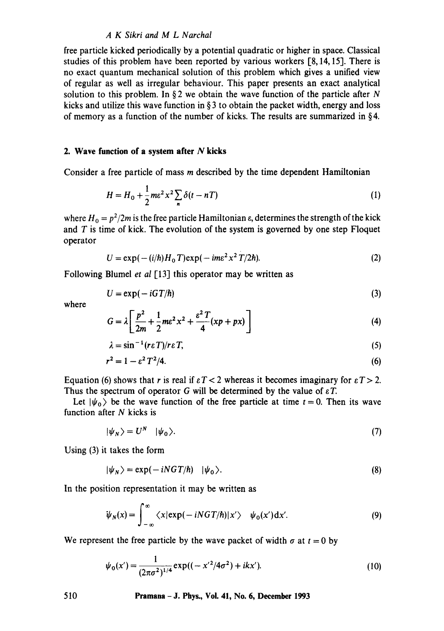#### *A K Sikri and M L Narchal*

free particle kicked periodically by a potential quadratic or higher in space. Classical studies of this problem have been reported by various workers [8,14, 15]. There is no exact quantum mechanical solution of this problem which gives a unified view of regular as well as irregular behaviour. This paper presents an exact analytical solution to this problem. In §2 we obtain the wave function of the particle after N kicks and utilize this wave function in  $\S 3$  to obtain the packet width, energy and loss of memory as a function of the number of kicks. The results are summarized in § 4.

#### **2. Wave function of a system after N kicks**

Consider a free particle of mass m described by the time dependent Hamiltonian

$$
H = H_0 + \frac{1}{2} m \varepsilon^2 x^2 \sum_{n} \delta(t - nT) \tag{1}
$$

where  $H_0 = p^2/2m$  is the free particle Hamiltonian  $\varepsilon$ , determines the strength of the kick and  $T$  is time of kick. The evolution of the system is governed by one step Floquet operator

$$
U = \exp(-(i/\hbar)H_0 T)\exp(-im\varepsilon^2 x^2 T/2\hbar). \tag{2}
$$

Following Blumel *et al* [13] this operator may be written as

$$
U = \exp(-iGT/\hbar) \tag{3}
$$

where

$$
G = \lambda \left[ \frac{p^2}{2m} + \frac{1}{2} m \varepsilon^2 x^2 + \frac{\varepsilon^2 T}{4} (xp + px) \right]
$$
 (4)

$$
\lambda = \sin^{-1}(r\epsilon T)/r\epsilon T, \tag{5}
$$

$$
r^2 = 1 - \varepsilon^2 T^2 / 4. \tag{6}
$$

Equation (6) shows that r is real if  $\epsilon T < 2$  whereas it becomes imaginary for  $\epsilon T > 2$ . Thus the spectrum of operator G will be determined by the value of  $\epsilon T$ .

Let  $|\psi_0\rangle$  be the wave function of the free particle at time  $t = 0$ . Then its wave function after  $N$  kicks is

$$
|\psi_N\rangle = U^N \quad |\psi_0\rangle. \tag{7}
$$

Using (3) it takes the form

$$
|\psi_N\rangle = \exp(-iNGT/\hbar) \quad |\psi_0\rangle. \tag{8}
$$

In the position representation it may be written as

$$
\psi_N(x) = \int_{-\infty}^{\infty} \langle x | \exp(-iNGT/\hbar) | x' \rangle \quad \psi_0(x') dx'.
$$
 (9)

We represent the free particle by the wave packet of width  $\sigma$  at  $t = 0$  by

$$
\psi_0(x') = \frac{1}{(2\pi\sigma^2)^{1/4}} \exp((-x'^2/4\sigma^2) + ikx').
$$
\n(10)

**510 Pramana- J. Phys., Vol. 41, No. 6, December 1993**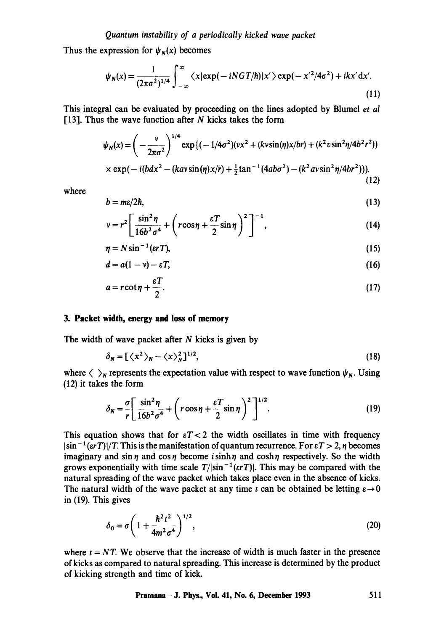## *Quantum instability of a periodically kicked wave packet*

Thus the expression for  $\psi_N(x)$  becomes

$$
\psi_N(x) = \frac{1}{(2\pi\sigma^2)^{1/4}} \int_{-\infty}^{\infty} \langle x | \exp(-iNGT/\hbar) | x' \rangle \exp(-x'^2/4\sigma^2) + ikx' dx'.
$$
\n(11)

This integral can be evaluated by proceeding on the lines adopted by Blumel *et al*  [13]. Thus the wave function after  $N$  kicks takes the form

$$
\psi_N(x) = \left(-\frac{v}{2\pi\sigma^2}\right)^{1/4} \exp\left\{(-\frac{1}{4\sigma^2})(vx^2 + (kvsin(\eta)x/br) + (k^2v\sin^2\eta/4b^2r^2)\right)\n\times \exp(-\frac{i(bdx^2 - (kav\sin(\eta)x/r) + \frac{1}{2}\tan^{-1}(4ab\sigma^2) - (k^2av\sin^2\eta/4br^2))}{(12)}
$$
\n(12)

where

$$
b = m\epsilon/2\hbar, \tag{13}
$$

$$
v = r^2 \left[ \frac{\sin^2 \eta}{16b^2 \sigma^4} + \left( r \cos \eta + \frac{\varepsilon T}{2} \sin \eta \right)^2 \right]^{-1}, \tag{14}
$$

$$
\eta = N \sin^{-1}(\epsilon r) \tag{15}
$$

$$
d = a(1 - v) - \varepsilon T, \tag{16}
$$

$$
a = r \cot \eta + \frac{\varepsilon T}{2}.
$$
 (17)

## **3. Packet width, energy and loss of memory**

The width of wave packet after  $N$  kicks is given by

$$
\delta_N = \left[ \langle x^2 \rangle_N - \langle x \rangle_N^2 \right]^{1/2},\tag{18}
$$

where  $\langle \ \rangle_N$  represents the expectation value with respect to wave function  $\psi_N$ . Using (12) it takes the form

$$
\delta_N = \frac{\sigma}{r} \left[ \frac{\sin^2 \eta}{16b^2 \sigma^4} + \left( r \cos \eta + \frac{\varepsilon T}{2} \sin \eta \right)^2 \right]^{1/2} . \tag{19}
$$

This equation shows that for  $\epsilon T < 2$  the width oscillates in time with frequency  $|\sin^{-1}(\epsilon r) f|/T$ . This is the manifestation of quantum recurrence. For  $\epsilon T > 2$ ,  $\eta$  becomes imaginary and  $\sin \eta$  and  $\cos \eta$  become isinh  $\eta$  and  $\cosh \eta$  respectively. So the width grows exponentially with time scale  $T/|\sin^{-1}(\epsilon rT)|$ . This may be compared with the natural spreading of the wave packet which takes place even in the absence of kicks. The natural width of the wave packet at any time t can be obtained be letting  $\varepsilon \to 0$ in (19). This gives

$$
\delta_0 = \sigma \left( 1 + \frac{\hbar^2 t^2}{4m^2 \sigma^4} \right)^{1/2},\tag{20}
$$

where  $t = NT$ . We observe that the increase of width is much faster in the presence of kicks as compared to natural spreading. This increase is determined by the product of kicking strength and time of kick.

## **Pramana- J. Phys., Vol. 41, No. 6, December 1993 511**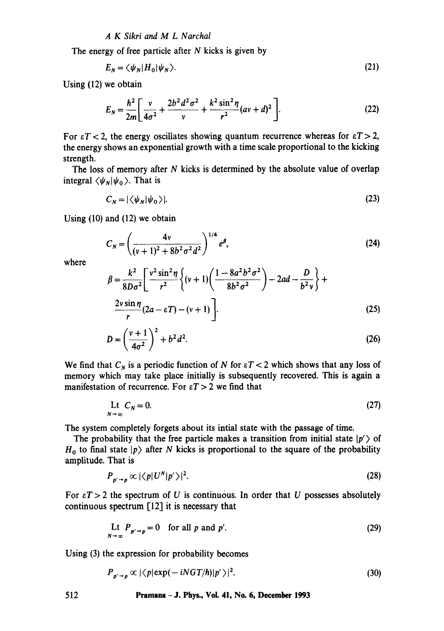## *A K Sikri and M L Narchal*

The energy of free particle after  $N$  kicks is given by

$$
E_N = \langle \psi_N | H_0 | \psi_N \rangle. \tag{21}
$$

**Using** (12) we obtain

$$
E_N = \frac{\hbar^2}{2m} \left[ \frac{v}{4\sigma^2} + \frac{2b^2 d^2 \sigma^2}{v} + \frac{k^2 \sin^2 \eta}{r^2} (av + d)^2 \right].
$$
 (22)

For  $\epsilon T < 2$ , the energy oscillates showing quantum recurrence whereas for  $\epsilon T > 2$ , the energy shows an exponential growth with a time scale proportional to the kicking strength.

The loss of memory after N kicks is determined by the absolute value of overlap integral  $\langle \psi_N | \psi_0 \rangle$ . That is

$$
C_N = |\langle \psi_N | \psi_0 \rangle|. \tag{23}
$$

Using (10) and (12) we obtain

$$
C_N = \left(\frac{4v}{(v+1)^2 + 8b^2\sigma^2 d^2}\right)^{1/4} e^{\beta},\tag{24}
$$

where

$$
\beta = \frac{k^2}{8D\sigma^2} \left[ \frac{v^2 \sin^2 \eta}{r^2} \left\{ (v+1) \left( \frac{1 - 8a^2 b^2 \sigma^2}{8b^2 \sigma^2} \right) - 2ad - \frac{D}{b^2 v} \right\} + \frac{2v \sin \eta}{r} (2a - \varepsilon T) - (v+1) \right].
$$
\n(25)

$$
D = \left(\frac{v+1}{4\sigma^2}\right)^2 + b^2 d^2. \tag{26}
$$

We find that  $C_N$  is a periodic function of N for  $\epsilon T < 2$  which shows that any loss of memory which may take place initially is subsequently recovered. This is again a manifestation of recurrence. For  $\epsilon T > 2$  we find that

$$
\mathcal{L}t \quad C_N = 0. \tag{27}
$$

The system completely forgets about its intial state with the passage of time.

The probability that the free particle makes a transition from initial state  $|p'\rangle$  of  $H_0$  to final state  $|p\rangle$  after N kicks is proportional to the square of the probability amplitude. That is

$$
P_{p' \to p} \propto |\langle p|U^N|p'\rangle|^2. \tag{28}
$$

For  $\epsilon T > 2$  the spectrum of U is continuous. In order that U possesses absolutely continuous spectrum [12] it is necessary that

$$
\mathop{\rm Lt}_{N \to \infty} P_{p' \to p} = 0 \quad \text{for all } p \text{ and } p'. \tag{29}
$$

Using (3) the expression for probability becomes

$$
P_{p' \to p} \propto |\langle p| \exp(-iNGT/\hbar)|p'\rangle|^2. \tag{30}
$$